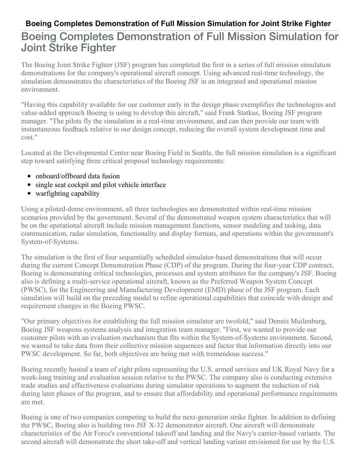## **Boeing Completes Demonstration of Full Mission Simulation for Joint Strike Fighter**

## Boeing Completes Demonstration of Full Mission Simulation for Joint Strike Fighter

The Boeing Joint Strike Fighter (JSF) program has completed the first in a series of full mission simulation demonstrations for the company's operational aircraft concept. Using advanced real-time technology, the simulation demonstrates the characteristics of the Boeing JSF in an integrated and operational mission environment.

"Having this capability available for our customer early in the design phase exemplifies the technologies and value-added approach Boeing is using to develop this aircraft," said Frank Statkus, Boeing JSF program manager. "The pilots fly the simulation in a real-time environment, and can then provide our team with instantaneous feedback relative to our design concept, reducing the overall system development time and cost."

Located at the Developmental Center near Boeing Field in Seattle, the full mission simulation is a significant step toward satisfying three critical proposal technology requirements:

- onboard/offboard data fusion
- single seat cockpit and pilot vehicle interface
- warfighting capability

Using a piloted-dome environment, all three technologies are demonstrated within real-time mission scenarios provided by the government. Several of the demonstrated weapon system characteristics that will be on the operational aircraft include mission management functions, sensor modeling and tasking, data communication, radar simulation, functionality and display formats, and operations within the government's System-of-Systems.

The simulation is the first of four sequentially scheduled simulator-based demonstrations that will occur during the current Concept Demonstration Phase (CDP) of the program. During the four-year CDP contract, Boeing is demonstrating critical technologies, processes and system attributes for the company's JSF. Boeing also is defining a multi-service operational aircraft, known as the Preferred Weapon System Concept (PWSC), for the Engineering and Manufacturing Development (EMD) phase of the JSF program. Each simulation will build on the preceding model to refine operational capabilities that coincide with design and requirement changes in the Boeing PWSC.

"Our primary objectives for establishing the full mission simulator are twofold," said Dennis Muilenburg, Boeing JSF weapons systems analysis and integration team manager. "First, we wanted to provide our customer pilots with an evaluation mechanism that fits within the System-of-Systems environment. Second, we wanted to take data from their collective mission sequences and factor that information directly into our PWSC development. So far, both objectives are being met with tremendous success."

Boeing recently hosted a team of eight pilots representing the U.S. armed services and UK Royal Navy for a week-long training and evaluation session relative to the PWSC. The company also is conducting extensive trade studies and effectiveness evaluations during simulator operations to augment the reduction of risk during later phases of the program, and to ensure that affordability and operational performance requirements are met.

Boeing is one of two companies competing to build the next-generation strike fighter. In addition to defining the PWSC, Boeing also is building two JSF X-32 demonstrator aircraft. One aircraft will demonstrate characteristics of the Air Force's conventional takeoff and landing and the Navy's carrier-based variants. The second aircraft will demonstrate the short take-off and vertical landing variant envisioned for use by the U.S.